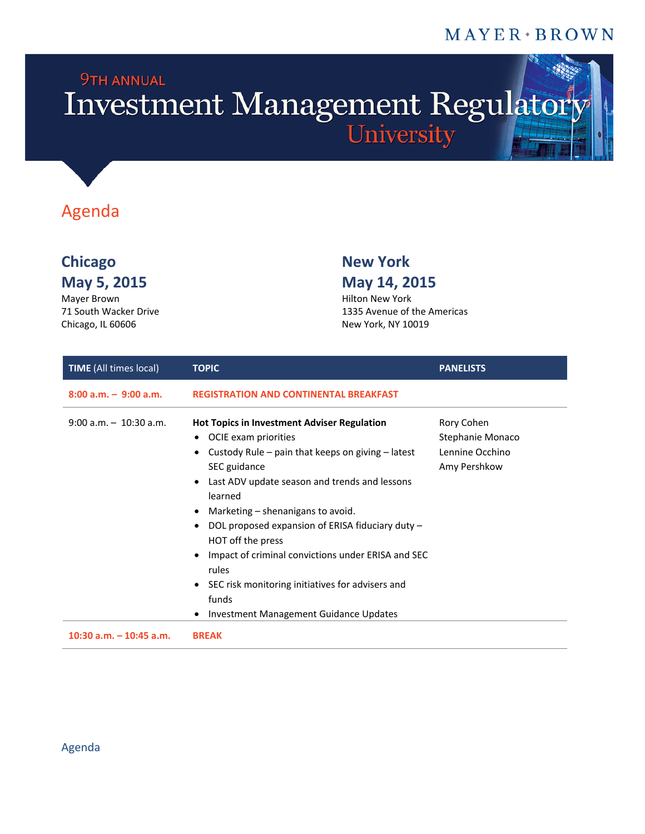#### $MAYER*BROWN$

# **9TH ANNUAL** Investment Management Regulatory

### Agenda

### **Chicago New York May 5, 2015**

Mayer Brown 71 South Wacker Drive Chicago, IL 60606

## **May 14, 2015**

Hilton New York 1335 Avenue of the Americas New York, NY 10019

| <b>TIME</b> (All times local) | <b>TOPIC</b>                                                                                                                                                                                                                                                                                                                                                                                                                                                                                                                                                                      | <b>PANELISTS</b>                                                  |
|-------------------------------|-----------------------------------------------------------------------------------------------------------------------------------------------------------------------------------------------------------------------------------------------------------------------------------------------------------------------------------------------------------------------------------------------------------------------------------------------------------------------------------------------------------------------------------------------------------------------------------|-------------------------------------------------------------------|
| $8:00$ a.m. $-9:00$ a.m.      | <b>REGISTRATION AND CONTINENTAL BREAKFAST</b>                                                                                                                                                                                                                                                                                                                                                                                                                                                                                                                                     |                                                                   |
| $9:00$ a.m. $-10:30$ a.m.     | <b>Hot Topics in Investment Adviser Regulation</b><br>OCIE exam priorities<br>$\bullet$<br>Custody Rule – pain that keeps on giving – latest<br>SEC guidance<br>Last ADV update season and trends and lessons<br>$\bullet$<br>learned<br>Marketing – shenanigans to avoid.<br>$\bullet$<br>DOL proposed expansion of ERISA fiduciary duty -<br>٠<br>HOT off the press<br>Impact of criminal convictions under ERISA and SEC<br>$\bullet$<br>rules<br>SEC risk monitoring initiatives for advisers and<br>$\bullet$<br>funds<br><b>Investment Management Guidance Updates</b><br>٠ | Rory Cohen<br>Stephanie Monaco<br>Lennine Occhino<br>Amy Pershkow |
| $10:30$ a.m. $-10:45$ a.m.    | <b>BREAK</b>                                                                                                                                                                                                                                                                                                                                                                                                                                                                                                                                                                      |                                                                   |

#### Agenda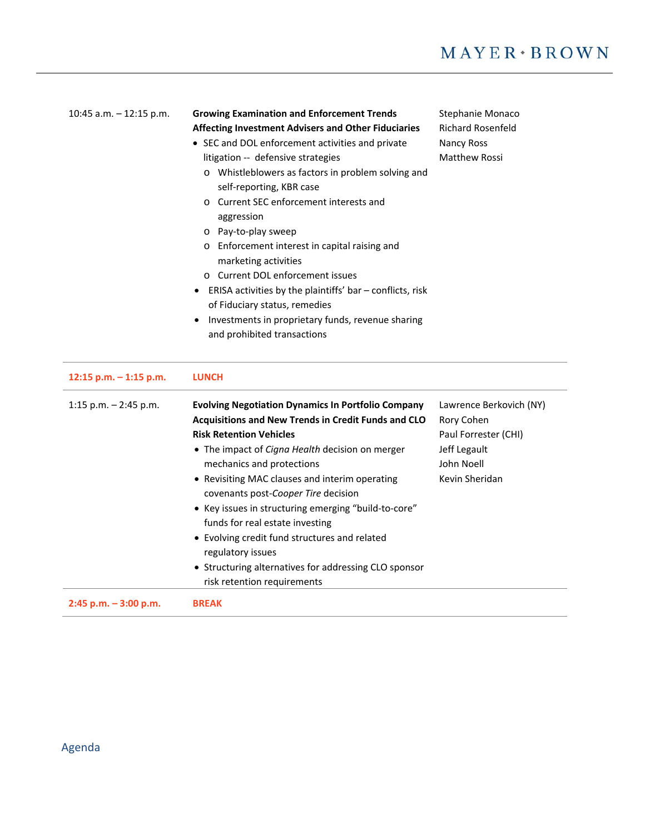| 10:45 a.m. $-$ 12:15 p.m. | <b>Growing Examination and Enforcement Trends</b><br>Affecting Investment Advisers and Other Fiduciaries<br>• SEC and DOL enforcement activities and private<br>litigation -- defensive strategies<br>o Whistleblowers as factors in problem solving and<br>self-reporting, KBR case<br>Current SEC enforcement interests and<br>aggression<br>o Pay-to-play sweep<br>o Enforcement interest in capital raising and<br>marketing activities<br>o Current DOL enforcement issues<br>ERISA activities by the plaintiffs' bar - conflicts, risk<br>$\bullet$<br>of Fiduciary status, remedies<br>Investments in proprietary funds, revenue sharing<br>and prohibited transactions | Stephanie Monaco<br><b>Richard Rosenfeld</b><br>Nancy Ross<br><b>Matthew Rossi</b>                            |
|---------------------------|--------------------------------------------------------------------------------------------------------------------------------------------------------------------------------------------------------------------------------------------------------------------------------------------------------------------------------------------------------------------------------------------------------------------------------------------------------------------------------------------------------------------------------------------------------------------------------------------------------------------------------------------------------------------------------|---------------------------------------------------------------------------------------------------------------|
| 12:15 p.m. $-$ 1:15 p.m.  | <b>LUNCH</b>                                                                                                                                                                                                                                                                                                                                                                                                                                                                                                                                                                                                                                                                   |                                                                                                               |
| 1:15 p.m. $-$ 2:45 p.m.   | <b>Evolving Negotiation Dynamics In Portfolio Company</b><br>Acquisitions and New Trends in Credit Funds and CLO<br><b>Risk Retention Vehicles</b><br>• The impact of Cigna Health decision on merger<br>mechanics and protections<br>• Revisiting MAC clauses and interim operating<br>covenants post-Cooper Tire decision<br>• Key issues in structuring emerging "build-to-core"<br>funds for real estate investing                                                                                                                                                                                                                                                         | Lawrence Berkovich (NY)<br>Rory Cohen<br>Paul Forrester (CHI)<br>Jeff Legault<br>John Noell<br>Kevin Sheridan |

 Evolving credit fund structures and related regulatory issues • Structuring alternatives for addressing CLO sponsor risk retention requirements

**2:45 p.m. – 3:00 p.m. BREAK**